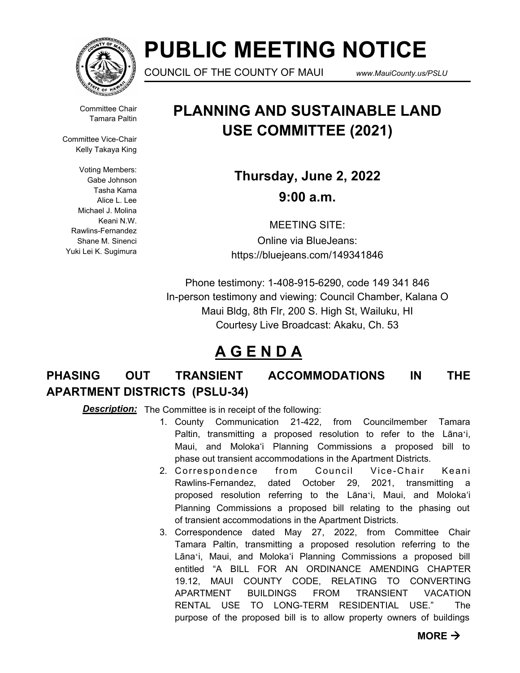

# **PUBLIC MEETING NOTICE**

COUNCIL OF THE COUNTY OF MAUI *www.MauiCounty.us/PSLU*

Committee Chair Tamara Paltin

Committee Vice-Chair Kelly Takaya King

Voting Members: Gabe Johnson Tasha Kama Alice L. Lee Michael J. Molina Keani N.W. Rawlins-Fernandez Shane M. Sinenci Yuki Lei K. Sugimura

## **PLANNING AND SUSTAINABLE LAND USE COMMITTEE (2021)**

**Thursday, June 2, 2022 9:00 a.m.**

MEETING SITE: Online via BlueJeans: https://bluejeans.com/149341846

Phone testimony: 1-408-915-6290, code 149 341 846 In-person testimony and viewing: Council Chamber, Kalana O Maui Bldg, 8th Flr, 200 S. High St, Wailuku, HI Courtesy Live Broadcast: Akaku, Ch. 53

## **A G E N D A**

### **PHASING OUT TRANSIENT ACCOMMODATIONS IN THE APARTMENT DISTRICTS (PSLU-34)**

**Description:** The Committee is in receipt of the following:

- 1. County Communication 21-422, from Councilmember Tamara Paltin, transmitting a proposed resolution to refer to the Lānaʻi, Maui, and Moloka'i Planning Commissions a proposed bill to phase out transient accommodations in the Apartment Districts.
- 2. Correspondence from Council Vice-Chair Keani Rawlins-Fernandez, dated October 29, 2021, transmitting a proposed resolution referring to the Lānaʻi, Maui, and Moloka'i Planning Commissions a proposed bill relating to the phasing out of transient accommodations in the Apartment Districts.
- 3. Correspondence dated May 27, 2022, from Committee Chair Tamara Paltin, transmitting a proposed resolution referring to the Lānaʻi, Maui, and Moloka'i Planning Commissions a proposed bill entitled "A BILL FOR AN ORDINANCE AMENDING CHAPTER 19.12, MAUI COUNTY CODE, RELATING TO CONVERTING APARTMENT BUILDINGS FROM TRANSIENT VACATION RENTAL USE TO LONG-TERM RESIDENTIAL USE." The purpose of the proposed bill is to allow property owners of buildings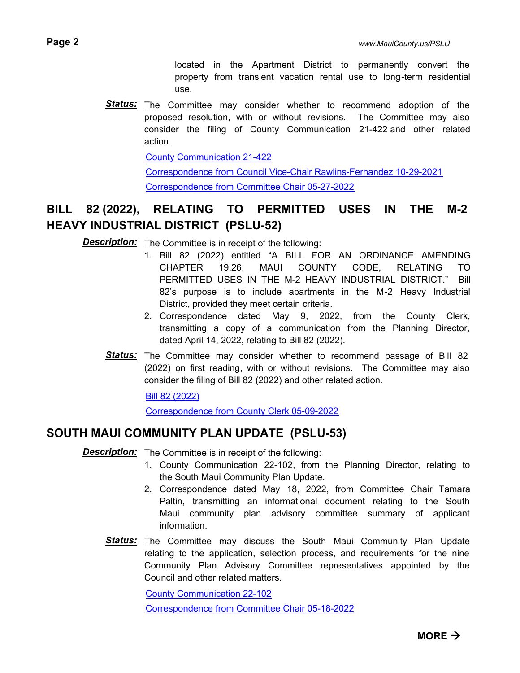located in the Apartment District to permanently convert the property from transient vacation rental use to long-term residential use.

Status: The Committee may consider whether to recommend adoption of the proposed resolution, with or without revisions. The Committee may also consider the filing of County Communication 21-422 and other related action.

[County Communication 21-422](http://mauicounty.legistar.com/gateway.aspx?M=F&ID=e303b349-0e8a-475d-aa15-0ae42eec148a.pdf)

[Correspondence from Council Vice-Chair Rawlins-Fernandez 10-29-2021](http://mauicounty.legistar.com/gateway.aspx?M=F&ID=1d7018eb-36af-4e85-b60f-d67948e6ecd2.pdf) [Correspondence from Committee Chair 05-27-2022](http://mauicounty.legistar.com/gateway.aspx?M=F&ID=ccbf1f18-0bb3-4563-8579-33565aab0fc6.pdf)

### **BILL 82 (2022), RELATING TO PERMITTED USES IN THE M-2 HEAVY INDUSTRIAL DISTRICT (PSLU-52)**

**Description:** The Committee is in receipt of the following:

- 1. Bill 82 (2022) entitled "A BILL FOR AN ORDINANCE AMENDING CHAPTER 19.26, MAUI COUNTY CODE, RELATING TO PERMITTED USES IN THE M-2 HEAVY INDUSTRIAL DISTRICT." Bill 82's purpose is to include apartments in the M-2 Heavy Industrial District, provided they meet certain criteria.
- 2. Correspondence dated May 9, 2022, from the County Clerk, transmitting a copy of a communication from the Planning Director, dated April 14, 2022, relating to Bill 82 (2022).
- Status: The Committee may consider whether to recommend passage of Bill 82 (2022) on first reading, with or without revisions. The Committee may also consider the filing of Bill 82 (2022) and other related action.

[Bill 82 \(2022\)](http://mauicounty.legistar.com/gateway.aspx?M=F&ID=e3c4ae9c-c3ee-40ee-8e97-ff530d8d9eaa.pdf)

[Correspondence from County Clerk 05-09-2022](http://mauicounty.legistar.com/gateway.aspx?M=F&ID=21a6d70f-d826-4406-b5f6-ebd7ca9351bf.pdf)

### **SOUTH MAUI COMMUNITY PLAN UPDATE (PSLU-53)**

**Description:** The Committee is in receipt of the following:

- 1. County Communication 22-102, from the Planning Director, relating to the South Maui Community Plan Update.
- 2. Correspondence dated May 18, 2022, from Committee Chair Tamara Paltin, transmitting an informational document relating to the South Maui community plan advisory committee summary of applicant information.
- Status: The Committee may discuss the South Maui Community Plan Update relating to the application, selection process, and requirements for the nine Community Plan Advisory Committee representatives appointed by the Council and other related matters.

[County Communication 22-102](http://mauicounty.legistar.com/gateway.aspx?M=F&ID=c3cc3487-ed2c-4231-abbb-a2f296b6d9ee.pdf)

[Correspondence from Committee Chair 05-18-2022](http://mauicounty.legistar.com/gateway.aspx?M=F&ID=a1a2b06f-024f-4362-ac30-5e65a14f6d92.pdf)